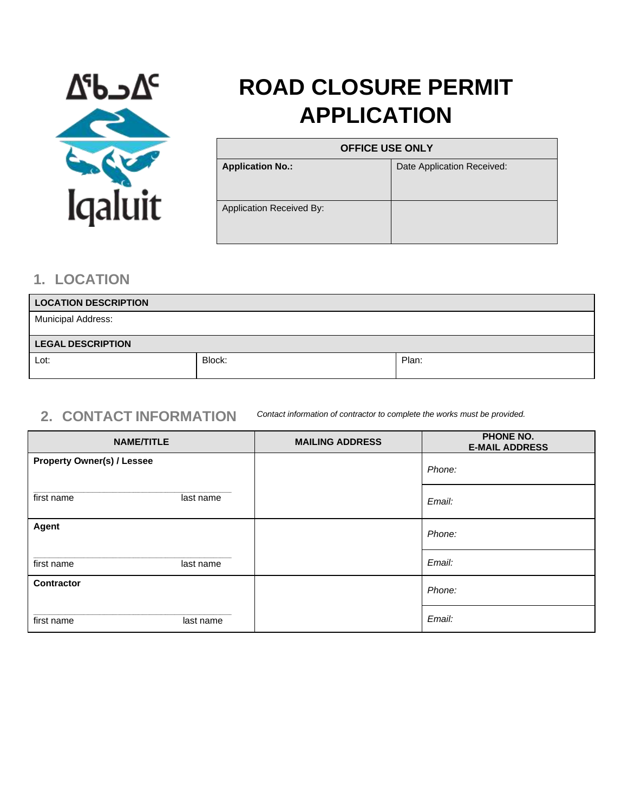

# **ROAD CLOSURE PERMIT APPLICATION**

| <b>OFFICE USE ONLY</b>          |                            |
|---------------------------------|----------------------------|
| <b>Application No.:</b>         | Date Application Received: |
|                                 |                            |
| <b>Application Received By:</b> |                            |
|                                 |                            |

#### **1. LOCATION**

| <b>LOCATION DESCRIPTION</b> |        |       |
|-----------------------------|--------|-------|
| <b>Municipal Address:</b>   |        |       |
| <b>LEGAL DESCRIPTION</b>    |        |       |
| Lot:                        | Block: | Plan: |

#### **2. CONTACT INFORMATION** *Contact information of contractor to complete the works must be provided.*

| <b>NAME/TITLE</b>                 |           | <b>MAILING ADDRESS</b> | <b>PHONE NO.</b><br><b>E-MAIL ADDRESS</b> |
|-----------------------------------|-----------|------------------------|-------------------------------------------|
| <b>Property Owner(s) / Lessee</b> |           |                        | Phone:                                    |
| first name                        | last name |                        | Email:                                    |
| Agent                             |           |                        | Phone:                                    |
| first name                        | last name |                        | Email:                                    |
| Contractor                        |           |                        | Phone:                                    |
| first name                        | last name |                        | Email:                                    |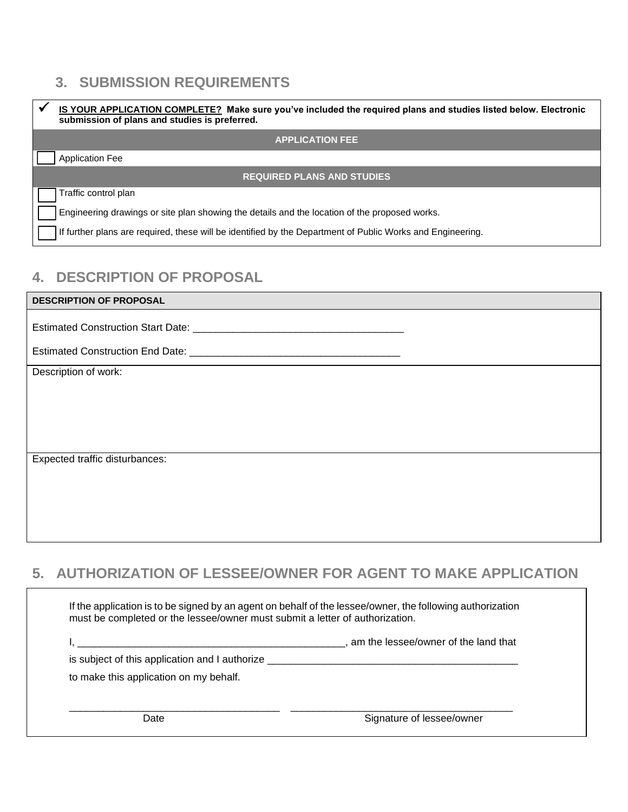# **3. SUBMISSION REQUIREMENTS**

| IS YOUR APPLICATION COMPLETE? Make sure you've included the required plans and studies listed below. Electronic<br>submission of plans and studies is preferred. |
|------------------------------------------------------------------------------------------------------------------------------------------------------------------|
| <b>APPLICATION FEE</b>                                                                                                                                           |
| <b>Application Fee</b>                                                                                                                                           |
| <b>REQUIRED PLANS AND STUDIES</b>                                                                                                                                |
| Traffic control plan                                                                                                                                             |
| Engineering drawings or site plan showing the details and the location of the proposed works.                                                                    |
| If further plans are required, these will be identified by the Department of Public Works and Engineering.                                                       |

## **4. DESCRIPTION OF PROPOSAL**

| <b>DESCRIPTION OF PROPOSAL</b> |
|--------------------------------|
|                                |
|                                |
| Description of work:           |
|                                |
|                                |
|                                |
| Expected traffic disturbances: |
|                                |
|                                |
|                                |

# **5. AUTHORIZATION OF LESSEE/OWNER FOR AGENT TO MAKE APPLICATION**

|                                                           | am the lessee/owner of the land that |
|-----------------------------------------------------------|--------------------------------------|
| is subject of this application and I authorize __________ |                                      |
| to make this application on my behalf.                    |                                      |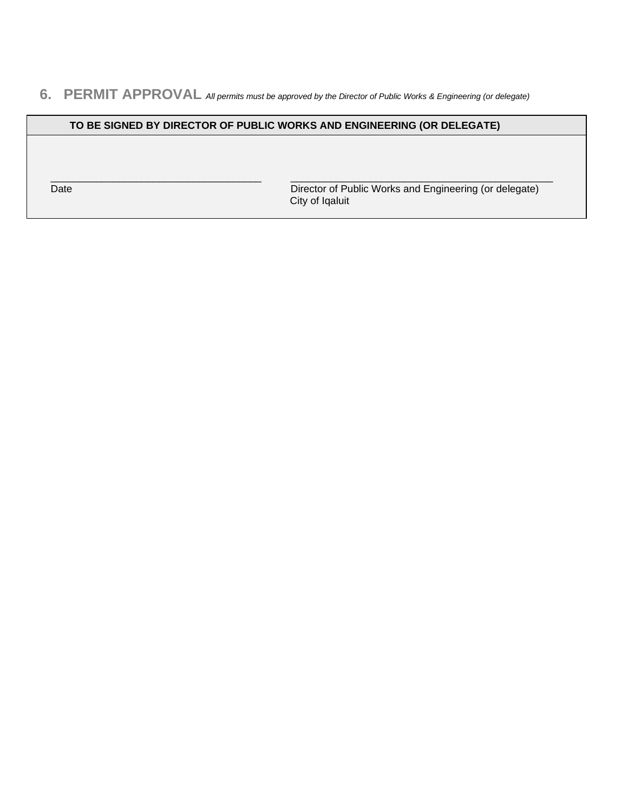#### **6. PERMIT APPROVAL** *All permits must be approved by the Director of Public Works & Engineering (or delegate)*

#### **TO BE SIGNED BY DIRECTOR OF PUBLIC WORKS AND ENGINEERING (OR DELEGATE)**

\_\_\_\_\_\_\_\_\_\_\_\_\_\_\_\_\_\_\_\_\_\_\_\_\_\_\_\_\_\_\_\_\_\_\_\_\_ \_\_\_\_\_\_\_\_\_\_\_\_\_\_\_\_\_\_\_\_\_\_\_\_\_\_\_\_\_\_\_\_\_\_\_\_\_\_\_\_\_\_\_\_\_\_ Date Director of Public Works and Engineering (or delegate) City of Iqaluit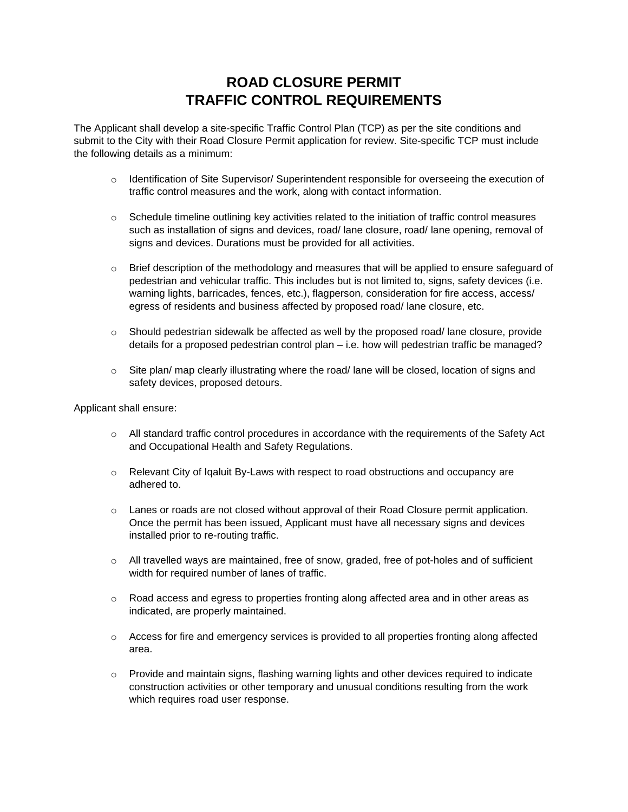## **ROAD CLOSURE PERMIT TRAFFIC CONTROL REQUIREMENTS**

The Applicant shall develop a site-specific Traffic Control Plan (TCP) as per the site conditions and submit to the City with their Road Closure Permit application for review. Site-specific TCP must include the following details as a minimum:

- o Identification of Site Supervisor/ Superintendent responsible for overseeing the execution of traffic control measures and the work, along with contact information.
- $\circ$  Schedule timeline outlining key activities related to the initiation of traffic control measures such as installation of signs and devices, road/ lane closure, road/ lane opening, removal of signs and devices. Durations must be provided for all activities.
- $\circ$  Brief description of the methodology and measures that will be applied to ensure safeguard of pedestrian and vehicular traffic. This includes but is not limited to, signs, safety devices (i.e. warning lights, barricades, fences, etc.), flagperson, consideration for fire access, access/ egress of residents and business affected by proposed road/ lane closure, etc.
- o Should pedestrian sidewalk be affected as well by the proposed road/ lane closure, provide details for a proposed pedestrian control plan – i.e. how will pedestrian traffic be managed?
- $\circ$  Site plan/ map clearly illustrating where the road/ lane will be closed, location of signs and safety devices, proposed detours.

Applicant shall ensure:

- o All standard traffic control procedures in accordance with the requirements of the Safety Act and Occupational Health and Safety Regulations.
- $\circ$  Relevant City of Iqaluit By-Laws with respect to road obstructions and occupancy are adhered to.
- o Lanes or roads are not closed without approval of their Road Closure permit application. Once the permit has been issued, Applicant must have all necessary signs and devices installed prior to re-routing traffic.
- $\circ$  All travelled ways are maintained, free of snow, graded, free of pot-holes and of sufficient width for required number of lanes of traffic.
- o Road access and egress to properties fronting along affected area and in other areas as indicated, are properly maintained.
- $\circ$  Access for fire and emergency services is provided to all properties fronting along affected area.
- $\circ$  Provide and maintain signs, flashing warning lights and other devices required to indicate construction activities or other temporary and unusual conditions resulting from the work which requires road user response.